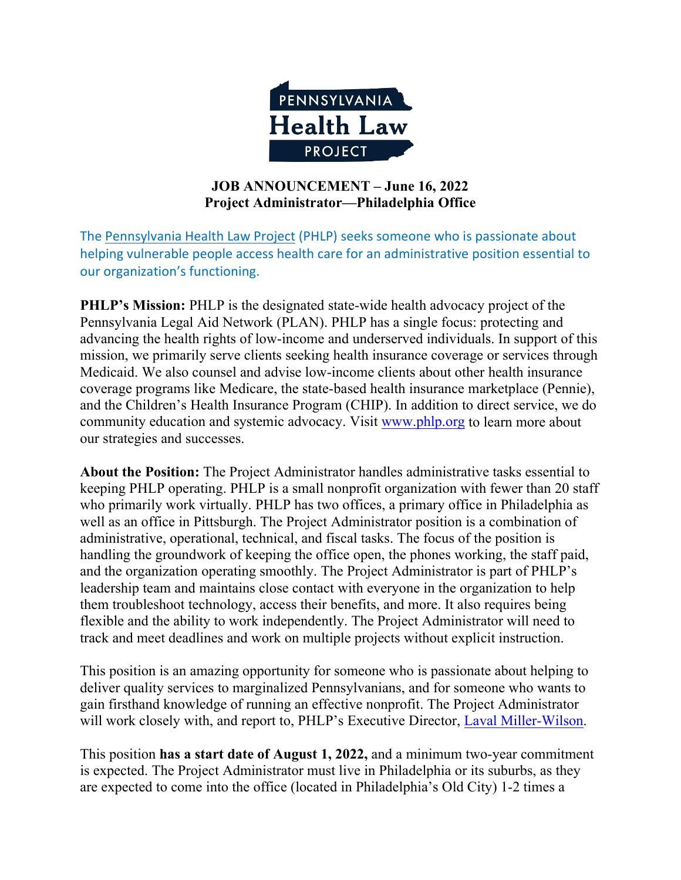

### **JOB ANNOUNCEMENT – June 16, 2022 Project Administrator—Philadelphia Office**

The [Pennsylvania Health Law Project](https://www.phlp.org/) (PHLP) seeks someone who is passionate about helping vulnerable people access health care for an administrative position essential to our organization's functioning.

**PHLP's Mission:** PHLP is the designated state-wide health advocacy project of the Pennsylvania Legal Aid Network (PLAN). PHLP has a single focus: protecting and advancing the health rights of low-income and underserved individuals. In support of this mission, we primarily serve clients seeking health insurance coverage or services through Medicaid. We also counsel and advise low-income clients about other health insurance coverage programs like Medicare, the state-based health insurance marketplace (Pennie), and the Children's Health Insurance Program (CHIP). In addition to direct service, we do community education and systemic advocacy. Visit [www.phlp.org](http://www.phlp.org/) to learn more about our strategies and successes.

**About the Position:** The Project Administrator handles administrative tasks essential to keeping PHLP operating. PHLP is a small nonprofit organization with fewer than 20 staff who primarily work virtually. PHLP has two offices, a primary office in Philadelphia as well as an office in Pittsburgh. The Project Administrator position is a combination of administrative, operational, technical, and fiscal tasks. The focus of the position is handling the groundwork of keeping the office open, the phones working, the staff paid, and the organization operating smoothly. The Project Administrator is part of PHLP's leadership team and maintains close contact with everyone in the organization to help them troubleshoot technology, access their benefits, and more. It also requires being flexible and the ability to work independently. The Project Administrator will need to track and meet deadlines and work on multiple projects without explicit instruction.

This position is an amazing opportunity for someone who is passionate about helping to deliver quality services to marginalized Pennsylvanians, and for someone who wants to gain firsthand knowledge of running an effective nonprofit. The Project Administrator will work closely with, and report to, PHLP's Executive Director, [Laval Miller-Wilson.](https://www.phlp.org/en/about/meet-our-staff/laval-miller-wilson9)

This position **has a start date of August 1, 2022,** and a minimum two-year commitment is expected. The Project Administrator must live in Philadelphia or its suburbs, as they are expected to come into the office (located in Philadelphia's Old City) 1-2 times a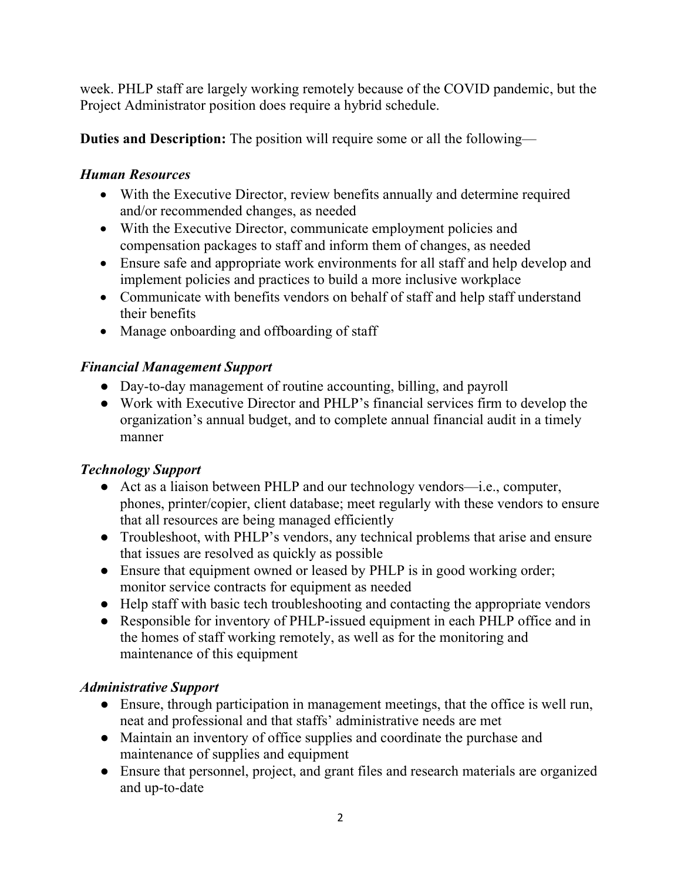week. PHLP staff are largely working remotely because of the COVID pandemic, but the Project Administrator position does require a hybrid schedule.

**Duties and Description:** The position will require some or all the following—

## *Human Resources*

- With the Executive Director, review benefits annually and determine required and/or recommended changes, as needed
- With the Executive Director, communicate employment policies and compensation packages to staff and inform them of changes, as needed
- Ensure safe and appropriate work environments for all staff and help develop and implement policies and practices to build a more inclusive workplace
- Communicate with benefits vendors on behalf of staff and help staff understand their benefits
- Manage onboarding and offboarding of staff

## *Financial Management Support*

- Day-to-day management of routine accounting, billing, and payroll
- Work with Executive Director and PHLP's financial services firm to develop the organization's annual budget, and to complete annual financial audit in a timely manner

# *Technology Support*

- Act as a liaison between PHLP and our technology vendors—i.e., computer, phones, printer/copier, client database; meet regularly with these vendors to ensure that all resources are being managed efficiently
- Troubleshoot, with PHLP's vendors, any technical problems that arise and ensure that issues are resolved as quickly as possible
- Ensure that equipment owned or leased by PHLP is in good working order; monitor service contracts for equipment as needed
- Help staff with basic tech troubleshooting and contacting the appropriate vendors
- Responsible for inventory of PHLP-issued equipment in each PHLP office and in the homes of staff working remotely, as well as for the monitoring and maintenance of this equipment

# *Administrative Support*

- Ensure, through participation in management meetings, that the office is well run, neat and professional and that staffs' administrative needs are met
- Maintain an inventory of office supplies and coordinate the purchase and maintenance of supplies and equipment
- Ensure that personnel, project, and grant files and research materials are organized and up-to-date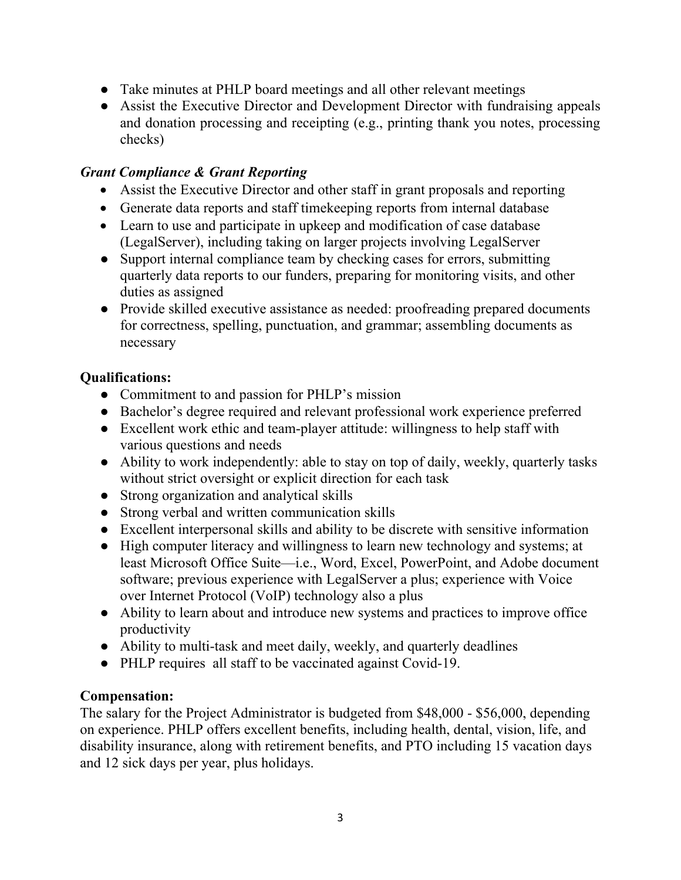- Take minutes at PHLP board meetings and all other relevant meetings
- Assist the Executive Director and Development Director with fundraising appeals and donation processing and receipting (e.g., printing thank you notes, processing checks)

### *Grant Compliance & Grant Reporting*

- Assist the Executive Director and other staff in grant proposals and reporting
- Generate data reports and staff timekeeping reports from internal database
- Learn to use and participate in upkeep and modification of case database (LegalServer), including taking on larger projects involving LegalServer
- Support internal compliance team by checking cases for errors, submitting quarterly data reports to our funders, preparing for monitoring visits, and other duties as assigned
- Provide skilled executive assistance as needed: proofreading prepared documents for correctness, spelling, punctuation, and grammar; assembling documents as necessary

### **Qualifications:**

- Commitment to and passion for PHLP's mission
- Bachelor's degree required and relevant professional work experience preferred
- Excellent work ethic and team-player attitude: willingness to help staff with various questions and needs
- Ability to work independently: able to stay on top of daily, weekly, quarterly tasks without strict oversight or explicit direction for each task
- Strong organization and analytical skills
- Strong verbal and written communication skills
- Excellent interpersonal skills and ability to be discrete with sensitive information
- High computer literacy and willingness to learn new technology and systems; at least Microsoft Office Suite—i.e., Word, Excel, PowerPoint, and Adobe document software; previous experience with LegalServer a plus; experience with Voice over Internet Protocol (VoIP) technology also a plus
- Ability to learn about and introduce new systems and practices to improve office productivity
- Ability to multi-task and meet daily, weekly, and quarterly deadlines
- PHLP requires all staff to be vaccinated against Covid-19.

### **Compensation:**

The salary for the Project Administrator is budgeted from \$48,000 - \$56,000, depending on experience. PHLP offers excellent benefits, including health, dental, vision, life, and disability insurance, along with retirement benefits, and PTO including 15 vacation days and 12 sick days per year, plus holidays.